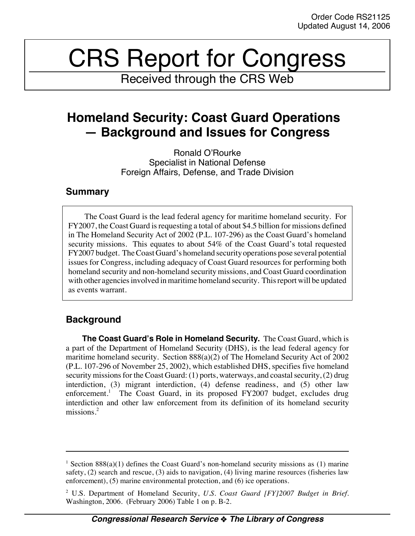# CRS Report for Congress

Received through the CRS Web

# **Homeland Security: Coast Guard Operations — Background and Issues for Congress**

Ronald O'Rourke Specialist in National Defense Foreign Affairs, Defense, and Trade Division

# **Summary**

The Coast Guard is the lead federal agency for maritime homeland security. For FY2007, the Coast Guard is requesting a total of about \$4.5 billion for missions defined in The Homeland Security Act of 2002 (P.L. 107-296) as the Coast Guard's homeland security missions. This equates to about 54% of the Coast Guard's total requested FY2007 budget. The Coast Guard's homeland security operations pose several potential issues for Congress, including adequacy of Coast Guard resources for performing both homeland security and non-homeland security missions, and Coast Guard coordination with other agencies involved in maritime homeland security. This report will be updated as events warrant.

# **Background**

**The Coast Guard's Role in Homeland Security.** The Coast Guard, which is a part of the Department of Homeland Security (DHS), is the lead federal agency for maritime homeland security. Section 888(a)(2) of The Homeland Security Act of 2002 (P.L. 107-296 of November 25, 2002), which established DHS, specifies five homeland security missions for the Coast Guard: (1) ports, waterways, and coastal security, (2) drug interdiction, (3) migrant interdiction, (4) defense readiness, and (5) other law enforcement.<sup>1</sup> The Coast Guard, in its proposed FY2007 budget, excludes drug interdiction and other law enforcement from its definition of its homeland security missions.<sup>2</sup>

<sup>&</sup>lt;sup>1</sup> Section 888(a)(1) defines the Coast Guard's non-homeland security missions as (1) marine safety, (2) search and rescue, (3) aids to navigation, (4) living marine resources (fisheries law enforcement), (5) marine environmental protection, and (6) ice operations.

<sup>2</sup> U.S. Department of Homeland Security, *U.S. Coast Guard [FY]2007 Budget in Brief*. Washington, 2006. (February 2006) Table 1 on p. B-2.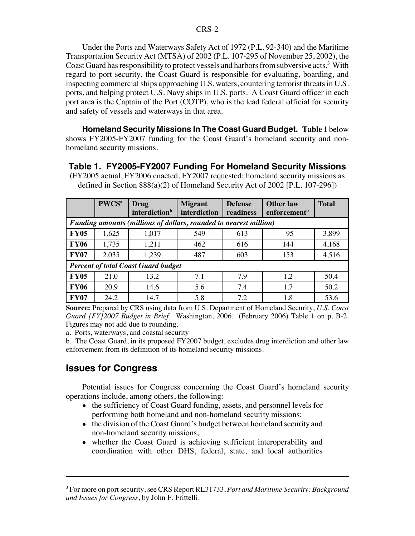Under the Ports and Waterways Safety Act of 1972 (P.L. 92-340) and the Maritime Transportation Security Act (MTSA) of 2002 (P.L. 107-295 of November 25, 2002), the Coast Guard has responsibility to protect vessels and harbors from subversive acts.<sup>3</sup> With regard to port security, the Coast Guard is responsible for evaluating, boarding, and inspecting commercial ships approaching U.S. waters, countering terrorist threats in U.S. ports, and helping protect U.S. Navy ships in U.S. ports. A Coast Guard officer in each port area is the Captain of the Port (COTP), who is the lead federal official for security and safety of vessels and waterways in that area.

**Homeland Security Missions In The Coast Guard Budget. Table 1** below shows FY2005-FY2007 funding for the Coast Guard's homeland security and nonhomeland security missions.

### **Table 1. FY2005-FY2007 Funding For Homeland Security Missions** (FY2005 actual, FY2006 enacted, FY2007 requested; homeland security missions as defined in Section 888(a)(2) of Homeland Security Act of 2002 [P.L. 107-296])

|                                                                   | PWCS <sup>a</sup> | <b>Drug</b><br>interdiction <sup>b</sup> | <b>Migrant</b><br>interdiction | <b>Defense</b><br>readiness | <b>Other law</b><br>enforcement <sup>b</sup> | <b>Total</b> |
|-------------------------------------------------------------------|-------------------|------------------------------------------|--------------------------------|-----------------------------|----------------------------------------------|--------------|
| Funding amounts (millions of dollars, rounded to nearest million) |                   |                                          |                                |                             |                                              |              |
| <b>FY05</b>                                                       | 1,625             | 1,017                                    | 549                            | 613                         | 95                                           | 3,899        |
| <b>FY06</b>                                                       | 1,735             | 1,211                                    | 462                            | 616                         | 144                                          | 4,168        |
| <b>FY07</b>                                                       | 2,035             | 1,239                                    | 487                            | 603                         | 153                                          | 4,516        |
| <b>Percent of total Coast Guard budget</b>                        |                   |                                          |                                |                             |                                              |              |
| <b>FY05</b>                                                       | 21.0              | 13.2                                     | 7.1                            | 7.9                         | 1.2                                          | 50.4         |
| <b>FY06</b>                                                       | 20.9              | 14.6                                     | 5.6                            | 7.4                         | 1.7                                          | 50.2         |
| <b>FY07</b>                                                       | 24.2              | 14.7                                     | 5.8                            | 7.2                         | 1.8                                          | 53.6         |

**Source:** Prepared by CRS using data from U.S. Department of Homeland Security, *U.S. Coast Guard [FY]2007 Budget in Brief*. Washington, 2006. (February 2006) Table 1 on p. B-2. Figures may not add due to rounding.

a. Ports, waterways, and coastal security

b. The Coast Guard, in its proposed FY2007 budget, excludes drug interdiction and other law enforcement from its definition of its homeland security missions.

## **Issues for Congress**

Potential issues for Congress concerning the Coast Guard's homeland security operations include, among others, the following:

- the sufficiency of Coast Guard funding, assets, and personnel levels for performing both homeland and non-homeland security missions;
- the division of the Coast Guard's budget between homeland security and non-homeland security missions;
- whether the Coast Guard is achieving sufficient interoperability and coordination with other DHS, federal, state, and local authorities

<sup>3</sup> For more on port security, see CRS Report RL31733, *Port and Maritime Security: Background and Issues for Congress*, by John F. Frittelli.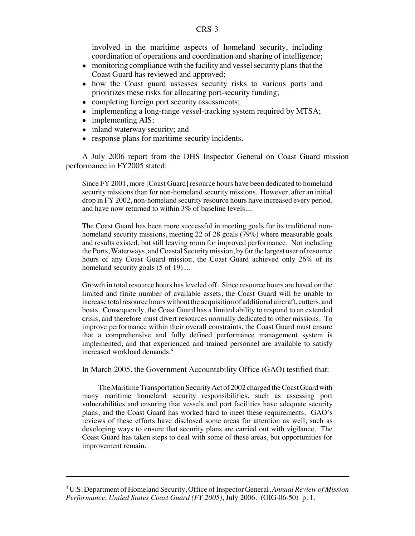involved in the maritime aspects of homeland security, including coordination of operations and coordination and sharing of intelligence;

- monitoring compliance with the facility and vessel security plans that the Coast Guard has reviewed and approved;
- how the Coast guard assesses security risks to various ports and prioritizes these risks for allocating port-security funding;
- completing foreign port security assessments;
- implementing a long-range vessel-tracking system required by MTSA;
- implementing AIS;
- inland waterway security; and
- response plans for maritime security incidents.

A July 2006 report from the DHS Inspector General on Coast Guard mission performance in FY2005 stated:

Since FY 2001, more [Coast Guard] resource hours have been dedicated to homeland security missions than for non-homeland security missions. However, after an initial drop in FY 2002, non-homeland security resource hours have increased every period, and have now returned to within 3% of baseline levels....

The Coast Guard has been more successful in meeting goals for its traditional nonhomeland security missions, meeting 22 of 28 goals (79%) where measurable goals and results existed, but still leaving room for improved performance. Not including the Ports, Waterways, and Coastal Security mission, by far the largest user of resource hours of any Coast Guard mission, the Coast Guard achieved only 26% of its homeland security goals (5 of 19)....

Growth in total resource hours has leveled off. Since resource hours are based on the limited and finite number of available assets, the Coast Guard will be unable to increase total resource hours without the acquisition of additional aircraft, cutters, and boats. Consequently, the Coast Guard has a limited ability to respond to an extended crisis, and therefore must divert resources normally dedicated to other missions. To improve performance within their overall constraints, the Coast Guard must ensure that a comprehensive and fully defined performance management system is implemented, and that experienced and trained personnel are available to satisfy increased workload demands.<sup>4</sup>

In March 2005, the Government Accountability Office (GAO) testified that:

The Maritime Transportation Security Act of 2002 charged the Coast Guard with many maritime homeland security responsibilities, such as assessing port vulnerabilities and ensuring that vessels and port facilities have adequate security plans, and the Coast Guard has worked hard to meet these requirements. GAO's reviews of these efforts have disclosed some areas for attention as well, such as developing ways to ensure that security plans are carried out with vigilance. The Coast Guard has taken steps to deal with some of these areas, but opportunities for improvement remain.

<sup>4</sup> U.S. Department of Homeland Security, Office of Inspector General, *Annual Review of Mission Performance, Untied States Coast Guard (FY 2005)*, July 2006. (OIG-06-50) p. 1.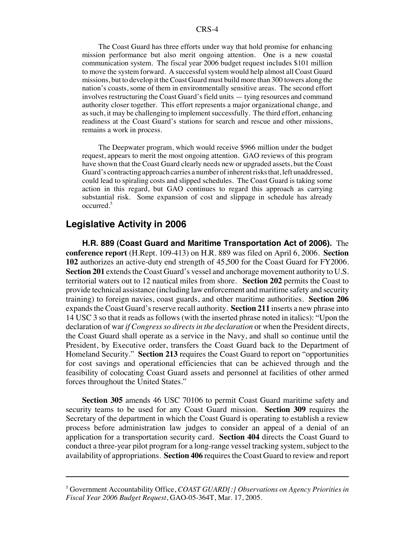The Coast Guard has three efforts under way that hold promise for enhancing mission performance but also merit ongoing attention. One is a new coastal communication system. The fiscal year 2006 budget request includes \$101 million to move the system forward. A successful system would help almost all Coast Guard missions, but to develop it the Coast Guard must build more than 300 towers along the nation's coasts, some of them in environmentally sensitive areas. The second effort involves restructuring the Coast Guard's field units — tying resources and command authority closer together. This effort represents a major organizational change, and as such, it may be challenging to implement successfully. The third effort, enhancing readiness at the Coast Guard's stations for search and rescue and other missions, remains a work in process.

The Deepwater program, which would receive \$966 million under the budget request, appears to merit the most ongoing attention. GAO reviews of this program have shown that the Coast Guard clearly needs new or upgraded assets, but the Coast Guard's contracting approach carries a number of inherent risks that, left unaddressed, could lead to spiraling costs and slipped schedules. The Coast Guard is taking some action in this regard, but GAO continues to regard this approach as carrying substantial risk. Some expansion of cost and slippage in schedule has already occurred.5

#### **Legislative Activity in 2006**

**H.R. 889 (Coast Guard and Maritime Transportation Act of 2006).** The **conference report** (H.Rept. 109-413) on H.R. 889 was filed on April 6, 2006. **Section 102** authorizes an active-duty end strength of 45,500 for the Coast Guard for FY2006. **Section 201** extends the Coast Guard's vessel and anchorage movement authority to U.S. territorial waters out to 12 nautical miles from shore. **Section 202** permits the Coast to provide technical assistance (including law enforcement and maritime safety and security training) to foreign navies, coast guards, and other maritime authorities. **Section 206** expands the Coast Guard's reserve recall authority. **Section 211** inserts a new phrase into 14 USC 3 so that it reads as follows (with the inserted phrase noted in italics): "Upon the declaration of war *if Congress so directs in the declaration* or when the President directs, the Coast Guard shall operate as a service in the Navy, and shall so continue until the President, by Executive order, transfers the Coast Guard back to the Department of Homeland Security." **Section 213** requires the Coast Guard to report on "opportunities for cost savings and operational efficiencies that can be achieved through and the feasibility of colocating Coast Guard assets and personnel at facilities of other armed forces throughout the United States."

**Section 305** amends 46 USC 70106 to permit Coast Guard maritime safety and security teams to be used for any Coast Guard mission. **Section 309** requires the Secretary of the department in which the Coast Guard is operating to establish a review process before administration law judges to consider an appeal of a denial of an application for a transportation security card. **Section 404** directs the Coast Guard to conduct a three-year pilot program for a long-range vessel tracking system, subject to the availability of appropriations. **Section 406** requires the Coast Guard to review and report

<sup>5</sup> Government Accountability Office, *COAST GUARD[:] Observations on Agency Priorities in Fiscal Year 2006 Budget Request*, GAO-05-364T, Mar. 17, 2005.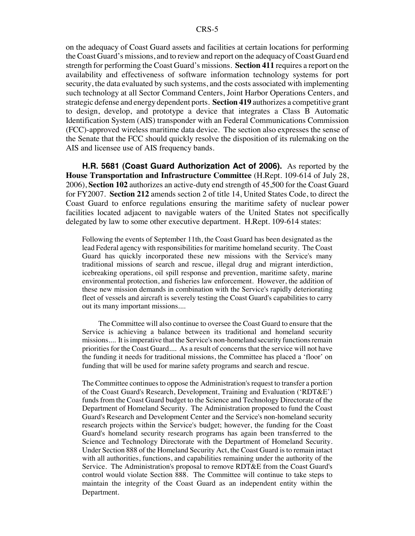on the adequacy of Coast Guard assets and facilities at certain locations for performing the Coast Guard's missions, and to review and report on the adequacy of Coast Guard end strength for performing the Coast Guard's missions. **Section 411** requires a report on the availability and effectiveness of software information technology systems for port security, the data evaluated by such systems, and the costs associated with implementing such technology at all Sector Command Centers, Joint Harbor Operations Centers, and strategic defense and energy dependent ports. **Section 419** authorizes a competitive grant to design, develop, and prototype a device that integrates a Class B Automatic Identification System (AIS) transponder with an Federal Communications Commission (FCC)-approved wireless maritime data device. The section also expresses the sense of the Senate that the FCC should quickly resolve the disposition of its rulemaking on the AIS and licensee use of AIS frequency bands.

**H.R. 5681 (Coast Guard Authorization Act of 2006).** As reported by the **House Transportation and Infrastructure Committee** (H.Rept. 109-614 of July 28, 2006), **Section 102** authorizes an active-duty end strength of 45,500 for the Coast Guard for FY2007. **Section 212** amends section 2 of title 14, United States Code, to direct the Coast Guard to enforce regulations ensuring the maritime safety of nuclear power facilities located adjacent to navigable waters of the United States not specifically delegated by law to some other executive department. H.Rept. 109-614 states:

Following the events of September 11th, the Coast Guard has been designated as the lead Federal agency with responsibilities for maritime homeland security. The Coast Guard has quickly incorporated these new missions with the Service's many traditional missions of search and rescue, illegal drug and migrant interdiction, icebreaking operations, oil spill response and prevention, maritime safety, marine environmental protection, and fisheries law enforcement. However, the addition of these new mission demands in combination with the Service's rapidly deteriorating fleet of vessels and aircraft is severely testing the Coast Guard's capabilities to carry out its many important missions....

The Committee will also continue to oversee the Coast Guard to ensure that the Service is achieving a balance between its traditional and homeland security missions.... It is imperative that the Service's non-homeland security functions remain priorities for the Coast Guard.... As a result of concerns that the service will not have the funding it needs for traditional missions, the Committee has placed a 'floor' on funding that will be used for marine safety programs and search and rescue.

The Committee continues to oppose the Administration's request to transfer a portion of the Coast Guard's Research, Development, Training and Evaluation ('RDT&E') funds from the Coast Guard budget to the Science and Technology Directorate of the Department of Homeland Security. The Administration proposed to fund the Coast Guard's Research and Development Center and the Service's non-homeland security research projects within the Service's budget; however, the funding for the Coast Guard's homeland security research programs has again been transferred to the Science and Technology Directorate with the Department of Homeland Security. Under Section 888 of the Homeland Security Act, the Coast Guard is to remain intact with all authorities, functions, and capabilities remaining under the authority of the Service. The Administration's proposal to remove RDT&E from the Coast Guard's control would violate Section 888. The Committee will continue to take steps to maintain the integrity of the Coast Guard as an independent entity within the Department.